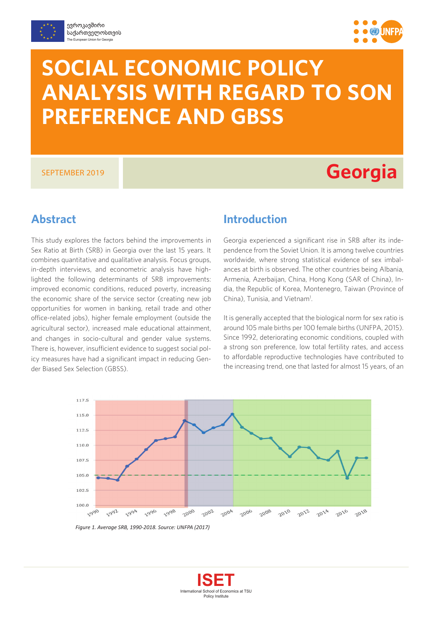



# **SOCIAL ECONOMIC POLICY ANALYSIS WITH REGARD TO SON PREFERENCE AND GBSS**

## SEPTEMBER 2019 **Georgia**

## **Abstract**

This study explores the factors behind the improvements in Sex Ratio at Birth (SRB) in Georgia over the last 15 years. It combines quantitative and qualitative analysis. Focus groups, in-depth interviews, and econometric analysis have highlighted the following determinants of SRB improvements: improved economic conditions, reduced poverty, increasing the economic share of the service sector (creating new job opportunities for women in banking, retail trade and other office-related jobs), higher female employment (outside the agricultural sector), increased male educational attainment, and changes in socio-cultural and gender value systems. There is, however, insufficient evidence to suggest social policy measures have had a significant impact in reducing Gender Biased Sex Selection (GBSS).

## **Introduction**

Georgia experienced a significant rise in SRB after its independence from the Soviet Union. It is among twelve countries worldwide, where strong statistical evidence of sex imbalances at birth is observed. The other countries being Albania, Armenia, Azerbaijan, China, Hong Kong (SAR of China), India, the Republic of Korea, Montenegro, Taiwan (Province of China), Tunisia, and Vietnam<sup>1</sup>.

It is generally accepted that the biological norm for sex ratio is around 105 male births per 100 female births (UNFPA, 2015). Since 1992, deteriorating economic conditions, coupled with a strong son preference, low total fertility rates, and access to affordable reproductive technologies have contributed to the increasing trend, one that lasted for almost 15 years, of an



*Figure 1. Average SRB, 1990-2018. Source: UNFPA (2017)*

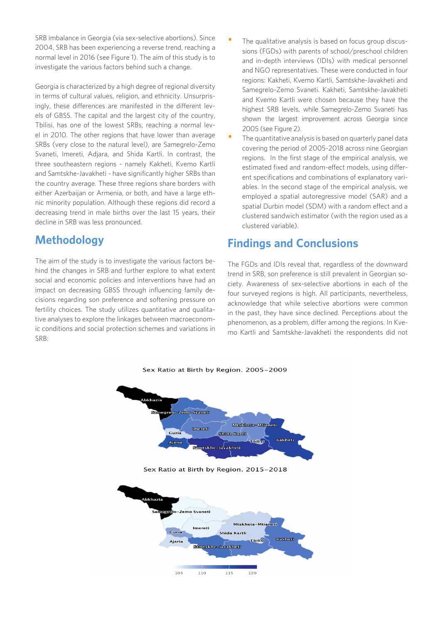SRB imbalance in Georgia (via sex-selective abortions). Since 2004, SRB has been experiencing a reverse trend, reaching a normal level in 2016 (see Figure 1). The aim of this study is to investigate the various factors behind such a change.

Georgia is characterized by a high degree of regional diversity in terms of cultural values, religion, and ethnicity. Unsurprisingly, these differences are manifested in the different levels of GBSS. The capital and the largest city of the country, Tbilisi, has one of the lowest SRBs, reaching a normal level in 2010. The other regions that have lower than average SRBs (very close to the natural level), are Samegrelo-Zemo Svaneti, Imereti, Adjara, and Shida Kartli. In contrast, the three southeastern regions - namely Kakheti, Kvemo Kartli and Samtskhe-Javakheti - have significantly higher SRBs than the country average. These three regions share borders with either Azerbaijan or Armenia, or both, and have a large ethnic minority population. Although these regions did record a decreasing trend in male births over the last 15 years, their decline in SRB was less pronounced.

## **Methodology**

The aim of the study is to investigate the various factors behind the changes in SRB and further explore to what extent social and economic policies and interventions have had an impact on decreasing GBSS through influencing family decisions regarding son preference and softening pressure on fertility choices. The study utilizes quantitative and qualitative analyses to explore the linkages between macroeconomic conditions and social protection schemes and variations in SRB:

- The qualitative analysis is based on focus group discussions (FGDs) with parents of school/preschool children and in-depth interviews (IDIs) with medical personnel and NGO representatives. These were conducted in four regions: Kakheti, Kvemo Kartli, Samtskhe-Javakheti and Samegrelo-Zemo Svaneti. Kakheti, Samtskhe-Javakheti and Kvemo Kartli were chosen because they have the highest SRB levels, while Samegrelo-Zemo Svaneti has shown the largest improvement across Georgia since 2005 (see Figure 2).
- The quantitative analysis is based on quarterly panel data covering the period of 2005-2018 across nine Georgian regions. In the first stage of the empirical analysis, we estimated fixed and random-effect models, using different specifications and combinations of explanatory variables. In the second stage of the empirical analysis, we employed a spatial autoregressive model (SAR) and a spatial Durbin model (SDM) with a random effect and a clustered sandwich estimator (with the region used as a clustered variable).

## **Findings and Conclusions**

The FGDs and IDIs reveal that, regardless of the downward trend in SRB, son preference is still prevalent in Georgian society. Awareness of sex-selective abortions in each of the four surveyed regions is high. All participants, nevertheless, acknowledge that while selective abortions were common in the past, they have since declined. Perceptions about the phenomenon, as a problem, differ among the regions. In Kvemo Kartli and Samtskhe-Javakheti the respondents did not



105 110 115 120

#### Sex Ratio at Birth by Region. 2005-2009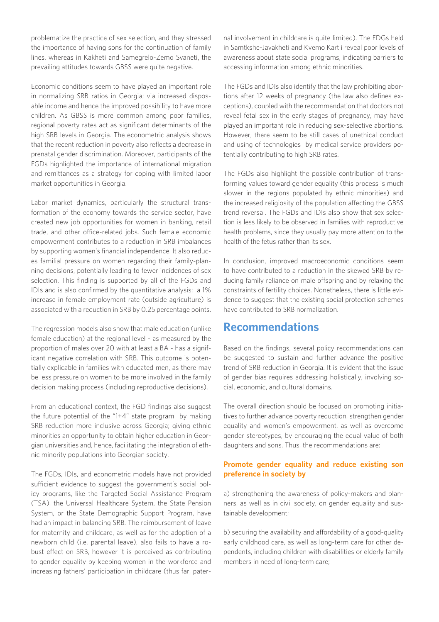problematize the practice of sex selection, and they stressed the importance of having sons for the continuation of family lines, whereas in Kakheti and Samegrelo-Zemo Svaneti, the prevailing attitudes towards GBSS were quite negative.

Economic conditions seem to have played an important role in normalizing SRB ratios in Georgia; via increased disposable income and hence the improved possibility to have more children. As GBSS is more common among poor families, regional poverty rates act as significant determinants of the high SRB levels in Georgia. The econometric analysis shows that the recent reduction in poverty also reflects a decrease in prenatal gender discrimination. Moreover, participants of the FGDs highlighted the importance of international migration and remittances as a strategy for coping with limited labor market opportunities in Georgia.

Labor market dynamics, particularly the structural transformation of the economy towards the service sector, have created new job opportunities for women in banking, retail trade, and other office-related jobs. Such female economic empowerment contributes to a reduction in SRB imbalances by supporting women's financial independence. It also reduces familial pressure on women regarding their family-planning decisions, potentially leading to fewer incidences of sex selection. This finding is supported by all of the FGDs and IDIs and is also confirmed by the quantitative analysis: a 1% increase in female employment rate (outside agriculture) is associated with a reduction in SRB by 0.25 percentage points.

The regression models also show that male education (unlike female education) at the regional level - as measured by the proportion of males over 20 with at least a BA - has a significant negative correlation with SRB. This outcome is potentially explicable in families with educated men, as there may be less pressure on women to be more involved in the family decision making process (including reproductive decisions).

From an educational context, the FGD findings also suggest the future potential of the "1+4" state program by making SRB reduction more inclusive across Georgia; giving ethnic minorities an opportunity to obtain higher education in Georgian universities and, hence, facilitating the integration of ethnic minority populations into Georgian society.

The FGDs, IDIs, and econometric models have not provided sufficient evidence to suggest the government's social policy programs, like the Targeted Social Assistance Program (TSA), the Universal Healthcare System, the State Pension System, or the State Demographic Support Program, have had an impact in balancing SRB. The reimbursement of leave for maternity and childcare, as well as for the adoption of a newborn child (i.e. parental leave), also fails to have a robust effect on SRB, however it is perceived as contributing to gender equality by keeping women in the workforce and increasing fathers' participation in childcare (thus far, paternal involvement in childcare is quite limited). The FDGs held in Samtkshe-Javakheti and Kvemo Kartli reveal poor levels of awareness about state social programs, indicating barriers to accessing information among ethnic minorities.

The FGDs and IDIs also identify that the law prohibiting abortions after 12 weeks of pregnancy (the law also defines exceptions), coupled with the recommendation that doctors not reveal fetal sex in the early stages of pregnancy, may have played an important role in reducing sex-selective abortions. However, there seem to be still cases of unethical conduct and using of technologies by medical service providers potentially contributing to high SRB rates.

The FGDs also highlight the possible contribution of transforming values toward gender equality (this process is much slower in the regions populated by ethnic minorities) and the increased religiosity of the population affecting the GBSS trend reversal. The FGDs and IDIs also show that sex selection is less likely to be observed in families with reproductive health problems, since they usually pay more attention to the health of the fetus rather than its sex.

In conclusion, improved macroeconomic conditions seem to have contributed to a reduction in the skewed SRB by reducing family reliance on male offspring and by relaxing the constraints of fertility choices. Nonetheless, there is little evidence to suggest that the existing social protection schemes have contributed to SRB normalization.

## **Recommendations**

Based on the findings, several policy recommendations can be suggested to sustain and further advance the positive trend of SRB reduction in Georgia. It is evident that the issue of gender bias requires addressing holistically, involving social, economic, and cultural domains.

The overall direction should be focused on promoting initiatives to further advance poverty reduction, strengthen gender equality and women's empowerment, as well as overcome gender stereotypes, by encouraging the equal value of both daughters and sons. Thus, the recommendations are:

#### **Promote gender equality and reduce existing son preference in society by**

a) strengthening the awareness of policy-makers and planners, as well as in civil society, on gender equality and sustainable development;

b) securing the availability and affordability of a good-quality early childhood care, as well as long-term care for other dependents, including children with disabilities or elderly family members in need of long-term care;